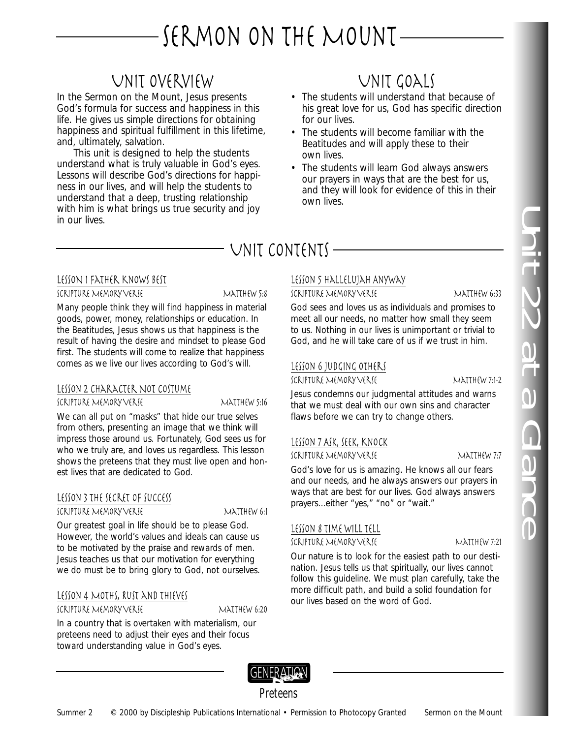# SERMON ON THE MOUNT-

# Unit Overview

In the Sermon on the Mount, Jesus presents God's formula for success and happiness in this life. He gives us simple directions for obtaining happiness and spiritual fulfillment in this lifetime, and, ultimately, salvation.

This unit is designed to help the students understand what is truly valuable in God's eyes. Lessons will describe God's directions for happiness in our lives, and will help the students to understand that a deep, trusting relationship with him is what brings us true security and joy in our lives.

# Unit Goals

- The students will understand that because of his great love for us, God has specific direction for our lives.
- The students will become familiar with the Beatitudes and will apply these to their own lives.
- The students will learn God always answers our prayers in ways that are the best for us, and they will look for evidence of this in their own lives.

# UNIT CONTENTS -

## LESSON 1 Father Knows Best

SCRIPTURE MEMORY VERSE MATTHEW 5:8

Many people think they will find happiness in material goods, power, money, relationships or education. In the Beatitudes, Jesus shows us that happiness is the result of having the desire and mindset to please God first. The students will come to realize that happiness comes as we live our lives according to God's will.

# LESSON 2 CHARACTER NOT COSTUME

SCRIPTURE MEMORY VERSE MATTHEW 5:16

We can all put on "masks" that hide our true selves from others, presenting an image that we think will impress those around us. Fortunately, God sees us for who we truly are, and loves us regardless. This lesson shows the preteens that they must live open and honest lives that are dedicated to God.

# Lesson 3 The Secret of Success

Scripture Memory Verse Matthew 6:1

Our greatest goal in life should be to please God. However, the world's values and ideals can cause us to be motivated by the praise and rewards of men. Jesus teaches us that our motivation for everything we do must be to bring glory to God, not ourselves.

# LESSON 4 MOTHS, RUST AND THIEVES

SCRIPTURE MEMORY VERSE MATTHEW 6:20

In a country that is overtaken with materialism, our preteens need to adjust their eyes and their focus toward understanding value in God's eyes.

# Lesson 5 Hallelujah Anyway

SCRIPTURE MEMORY VERSE MATTHEW 6:33

God sees and loves us as individuals and promises to meet all our needs, no matter how small they seem to us. Nothing in our lives is unimportant or trivial to God, and he will take care of us if we trust in him.

# Lesson 6 Judging Others

SCRIPTURE MEMORY VERSE MATTHEW 7:1-2

Jesus condemns our judgmental attitudes and warns that we must deal with our own sins and character flaws before we can try to change others.

# Lesson 7 Ask, Seek, Knock

SCRIPTURE MEMORY VERSE MATTHEW 7:7

God's love for us is amazing. He knows all our fears and our needs, and he always answers our prayers in ways that are best for our lives. God always answers prayers…either "yes," "no" or "wait."

# Lesson 8 Time Will Tell

Scripture Memory Verse Matthew 7:21

Our nature is to look for the easiest path to our destination. Jesus tells us that spiritually, our lives cannot follow this guideline. We must plan carefully, take the more difficult path, and build a solid foundation for our lives based on the word of God.



Preteens